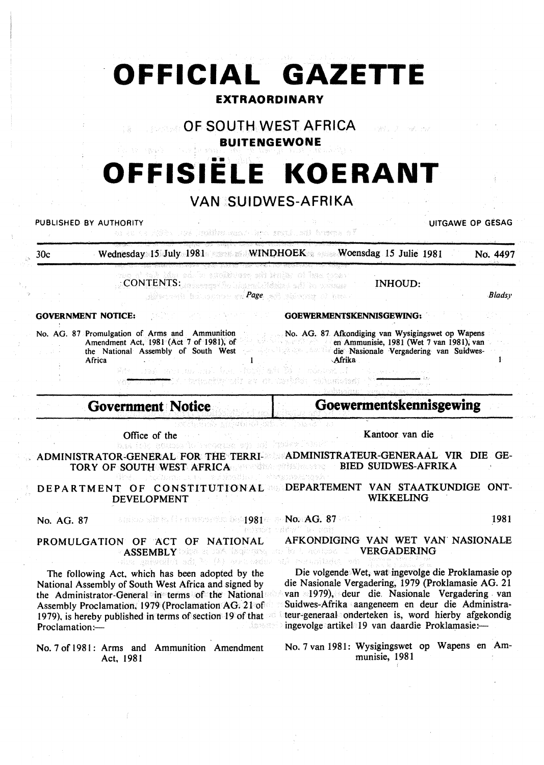|                              | OFFICIAL GAZETTE                                                                                                                                                                                                                                                                                                                           | <b>EXTRAORDINARY</b>                                                                                                                                                                                                                                                                                                                           |                  |
|------------------------------|--------------------------------------------------------------------------------------------------------------------------------------------------------------------------------------------------------------------------------------------------------------------------------------------------------------------------------------------|------------------------------------------------------------------------------------------------------------------------------------------------------------------------------------------------------------------------------------------------------------------------------------------------------------------------------------------------|------------------|
|                              | <b>OF SOUTH WEST AFRICA</b>                                                                                                                                                                                                                                                                                                                | i në më<br><b>BUITENGEWONE</b>                                                                                                                                                                                                                                                                                                                 |                  |
|                              |                                                                                                                                                                                                                                                                                                                                            | <b>OFFISIELE KOERANT</b>                                                                                                                                                                                                                                                                                                                       |                  |
|                              |                                                                                                                                                                                                                                                                                                                                            | <b>VAN SUIDWES-AFRIKA</b>                                                                                                                                                                                                                                                                                                                      |                  |
|                              | PUBLISHED BY AUTHORITY<br>480 - An Imperator Ste Mond, me hama af                                                                                                                                                                                                                                                                          |                                                                                                                                                                                                                                                                                                                                                | UITGAWE OP GESAG |
| 30 <sub>c</sub>              |                                                                                                                                                                                                                                                                                                                                            | Wednesday 15 July 1981 WINDHOEK Woensdag 15 Julie 1981                                                                                                                                                                                                                                                                                         | No. 4497         |
|                              | racep med to refuse bee peeticklong of he split film pour<br>CONTENTS: and accounts the content of the content of the content of the content of the content of the content<br>ginaan bilaana ee <mark>Page</mark> ee siissan of head                                                                                                       | <b>INHOUD:</b>                                                                                                                                                                                                                                                                                                                                 | Bladsy           |
|                              | <b>GOVERNMENT NOTICE:</b>                                                                                                                                                                                                                                                                                                                  | <b>GOEWERMENTSKENNISGEWING:</b>                                                                                                                                                                                                                                                                                                                |                  |
|                              | No. AG. 87 Promulgation of Arms and Ammunition<br>Amendment Act, 1981 (Act 7 of 1981), of                                                                                                                                                                                                                                                  | No. AG. 87 Afkondiging van Wysigingswet op Wapens<br>en Ammunisie, 1981 (Wet 7 van 1981), van<br>e watiner y                                                                                                                                                                                                                                   |                  |
|                              | the National Assembly of South West<br>Africa<br>When they then me they love changingh Disc notions if<br>tik tatustvini se ot bytek tinduskima                                                                                                                                                                                            | die Nasionale Vergadering van Suidwes-<br>Afrika                                                                                                                                                                                                                                                                                               |                  |
|                              | <b>Government Notice</b>                                                                                                                                                                                                                                                                                                                   | Goewermentskennisgewing                                                                                                                                                                                                                                                                                                                        |                  |
|                              | Office of the                                                                                                                                                                                                                                                                                                                              | Kantoor van die                                                                                                                                                                                                                                                                                                                                |                  |
|                              | bas ielę gėmas la verogym ap 191 (1947). Vise<br>ADMINISTRATOR-GENERAL FOR THE TERRI- ADMINISTRATEUR-GENERAAL VIR DIE GE-<br>TORY OF SOUTH WEST AFRICA AND CONSTRUCTED TO                                                                                                                                                                  | <b>BIED SUIDWES-AFRIKA</b>                                                                                                                                                                                                                                                                                                                     |                  |
|                              | na Italya - <i>ta at</i> with<br>DEPARTMENT OF CONSTITUTIONAL DEPARTEMENT VAN STAATKUNDIGE ONT-<br>DEVELOPMENT                                                                                                                                                                                                                             | 아기 그 학생들은 그만 가장 말 알 수 있다.<br><b>WIKKELING</b>                                                                                                                                                                                                                                                                                                  |                  |
|                              | amino shirts ( ) responsive fact $981$ and $\bf{NG.~87}$ and                                                                                                                                                                                                                                                                               |                                                                                                                                                                                                                                                                                                                                                |                  |
|                              | PROMULGATION OF ACT OF NATIONAL<br>ASSEMBLY this at tak is gloring one for the component                                                                                                                                                                                                                                                   | seinda vähaf le sob<br>AFKONDIGING VAN WET VAN NASIONALE<br><b>VERGADERING</b><br>Describe participation of Philippe                                                                                                                                                                                                                           |                  |
| No. AG. 87<br>Proclamation:- | due gnivestid ads by (b) are needer<br>The following Act, which has been adopted by the<br>National Assembly of South West Africa and signed by<br>the Administrator-General in terms of the National<br>Assembly Proclamation, 1979 (Proclamation AG. 21 of<br>1979), is hereby published in terms of section 19 of that $\sim$<br>Astado | ndê Prengîlador ekî<br>Die volgende Wet, wat ingevolge die Proklamasie op<br>die Nasionale Vergadering, 1979 (Proklamasie AG. 21<br>van 1979), deur die Nasionale Vergadering van<br>Suidwes-Afrika aangeneem en deur die Administra-<br>teur-generaal onderteken is, word hierby afgekondig<br>ingevolge artikel 19 van daardie Proklamasie:- | 1981             |

 $\begin{bmatrix} 1 \\ 1 \\ 2 \end{bmatrix}$ 

 $\frac{1}{\sqrt{2}}$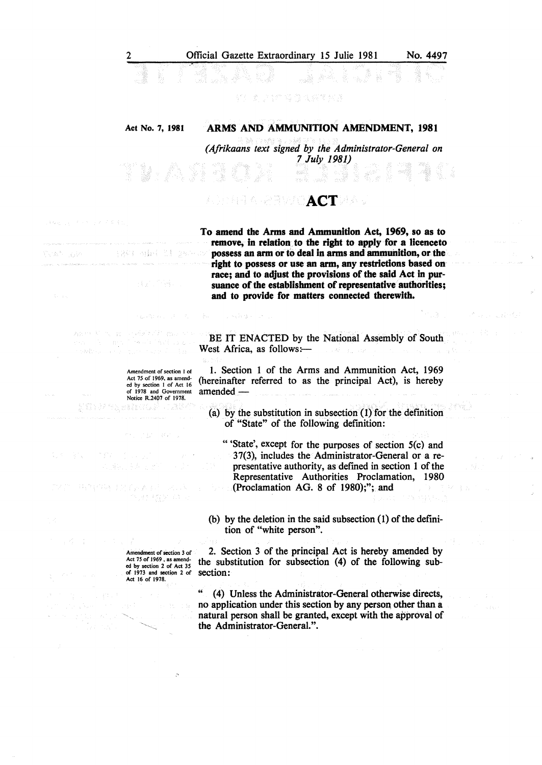### Act No. 7, 1981 ARMS AND AMMUNITION AMENDMENT, 1981

*(Afrikaans text signed by the Administrator-General on 7 July 1981)* 

### 적 동물 **ACT**

 $\alpha_{\rm eff}$  (  $\alpha_{\rm eff}$  )  $\eta_{\rm eff}$ 

To amend the Arms and Ammunition Act, 1969, so as to remove, in relation to the right to apply for a licenceto possess an arm or to deal in arms and ammunition, or the right to possess or use an arm, any restrictions based on race; and to adjust the provisions of the said Act in pursuance of the establishment of representative authorities; and to provide for matters connected therewith.

in an applicit to لماور إنوفا ونيمج

大身航空

on i pol

医部分层的

Amendment of section I of Act 75 of 1969, as amended by section I of Act 16 of 1978 and Government Notice R.2407 of 1978.

in agricultura

28件 未受的行为的

gan e tagan da

特性学 切合本科

BE IT ENACTED by the National Assembly of South West Africa, as follows: $-$ 

1. Section 1 of the Arms and Ammunition Act, 1969 (hereinafter referred to as the principal Act), is hereby amended -

(a) by the substitution in subsection (1) for the defmition of "State" of the following defmition:

" 'State', except for the purposes of section 5(c) and 37(3), includes the Administrator-General or a representative authority, as defmed in section 1 of the Representative Authorities Proclamation, 1980 (Proclamation AG. 8 of 1980);"; and

(b) by the deletion in the said subsection  $(1)$  of the definition of "white person".

Amendment of section 3 of Act 75 of 1969. as amended by section 2 of Act 35 of 1973 and section 2 of Act 16 of 1978.

2. Section 3 of the principal Act is hereby amended by the substitution for subsection (4) of the following subsection:

(4) Unless the Administrator-General otherwise directs, no application under this section by any person other than a natural person shall be granted, except with the approval of the Administrator-General.".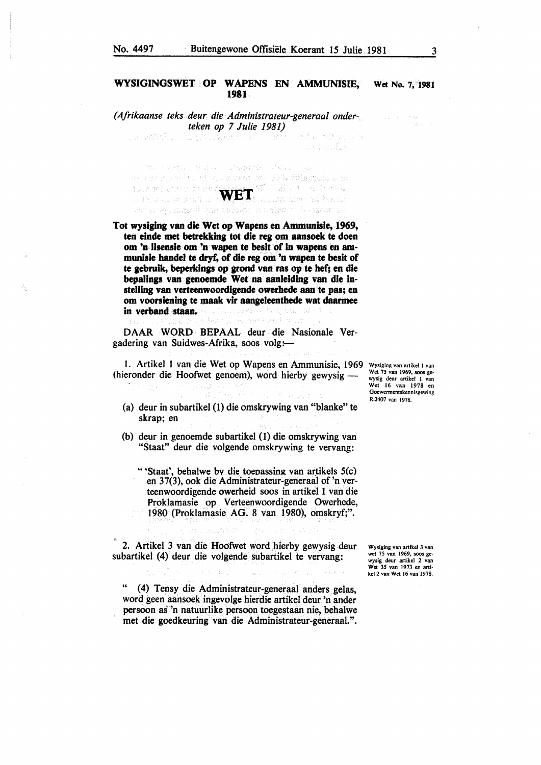# WYSIGINGSWET OP WAPENS EN AMMUNISIE, Wet No. 7, 1981 1981

*(Afrikaanse teks deur die Administrateur-generaal onderteken op* 7 *Julie 1981)* 

and repring their

where the sets of to also druged took regime (  $\kappa\omega\ll t$ WET

Tot wysiging van die Wet op Wapens en Ammunlsle, 1969, ten einde met betrekking tot die reg om aansoek te doen om 'n lisensie om 'n wapen te besit of in wapens en ammunisle handel te dryf, of die reg om 'n wapen te besit of te gebruik, beperkings op grond van ras op te hef; en die bepalings van genoemde Wet na aanleiding van die instelllng van verteenwoordigende owerhede san te pas; en om voorsiening te mask vir aangeleenthede wat daarmee in verband staan.

DAAR WORD BEPAAL deur die Nasionale Vergadering van Suidwes-Afrika, soos volg:-

I. Artikel I van die Wet op Wapens en Ammunisie, 1969 (hieronder die Hoofwet genoem), word hierby gewysig -

- (a) deur in subartikel (1) die omskrywing van "blanke'' te skrap; en
- (b) deur in genoemde subartikel (1) die omskrywing van "Staat" deur die volgende omskrywing te vervang:
	- "'Staat', behalwe bv die toeoassing van artikels S(c) en 37(3), ook die Administrateur-generaat of 'n verteenwoordigende owerheid soos in artikel 1 van die Proklamasie op Verteenwoordigende Owerhede, 1980 (Proklamasie AG. 8 van 1980), omskryf;".

2. Artikel 3 van die Hoofwet word hierby gewysig deur subartikel (4) deur die volgende subartikel te vervang:

(4) Tensy die Administrateur-generaal anders gelas, word geen aansoek ingevolge hierdie artikel deur 'n ander persoon as·•n natuurlike persoon toegestaan nie, behalwe met die goedkeuring van die Administrateur-generaal.".

Wysiging van artikel I van Wet 75 van 1969, soos ge-wysig deur artikel I van Wet 16 van 1978 en Goewermentskennisgewing R.2407 van 1978.

Wysiging van artikel 3 van wet 75 van 1969, soos gewysig deur artikel 2 van Wet 35 van 1973 en artikel2 van Wet 16 van 1978.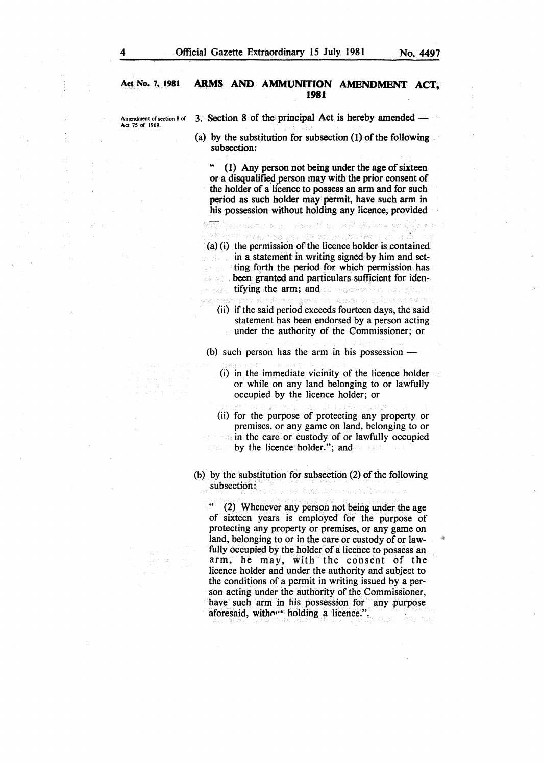## Act No. 7,1981 **ARMS AND AMMUNITION AMENDMENT ACT,**  ' **1981**

Amendment of section 8 of 3. Section 8 of the principal Act is hereby amended -

(a) by the substitution for subsection (1) of the following subsection:

(1) Any person not being under the age of sixteen or a disqualified person may with the prior consent of the holder of a licence to possess an arm and for such period as such holder may permit, have such arm in his possession without holding any licence, provided

alendarum A. a. – danal M. a. 1992. St. Lev

(a) (i) the permission of the licence holder is contained in a statement in writing signed by him and setting forth the period for which permission has **EXECUTE:** been granted and particulars sufficient for identifying the arm; and a process of the set of the

and Bela

(ii) if the said period exceeds fourteen days, the said statement has been endorsed by a person acting under the authority of the Commissioner; or

(b) such person has the arm in his possession  $-$ 

(i) in the immediate vicinity of the licence holder or while on any land belonging to or lawfully occupied by the licence holder; or

(ii) for the purpose of protecting any property or premises, or any game on land, belonging to or in the care or custody of or lawfully occupied by the licence holder."; and

(b) by the substitution for subsection (2) of the following subsection: wa teshezh sanatn ev

(2) Whenever any person not being under the age of sixteen years is employed for the purpose of protecting any property or premises, or any game on land, belonging to or in the care or custody of or lawfully occupied by the holder of a licence to possess an arm, he may, with the consent of the licence holder and under the authority and subject to the conditions of a permit in writing issued by a person acting under the authority of the Commissioner, have such arm in his possession for any purpose aforesaid, without holding a licence.".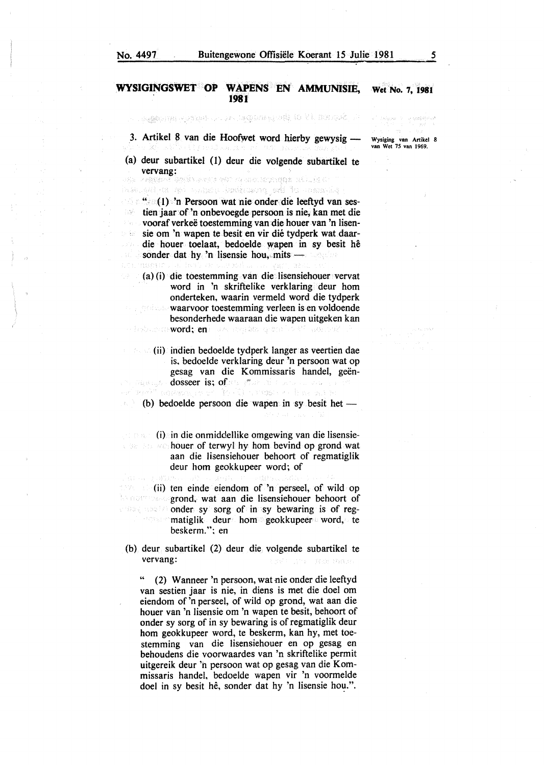#### **WYSIGINGSWET OP WAPENS EN AMMUNISIE, 1981 Wet No. 7, 1981**

standard Double and an information of the period of

3. Artikel 8 van die Hoofwet word hierby gewysig-

(a) deur subartikel (1) deur die volgende subartikel te vervang:<br>segment bydd serie rei 14 metartagan aflukt t

iway, aki da dan wunggu Jumiyang ang To upamaning " (1) 'n Persoon wat nie onder die leeftyd van sestien jaar of 'n onbevoegde persoon is nie, kan met die vooraf verkeë toestemming van die houer van 'n lisensie om 'n wapen te besit en vir dié tydperk wat daardie houer toelaat, bedoelde wapen in sy besit he sonder dat hy 'n lisensie hou, mits  $\frac{1}{2}$ 

(a) (i) die toestemming van die lisensiehouer vervat word in 'n skriftelike verklaring deur hom onderteken, waarin vermeld word die tydperk waarvoor toestemming verleen is en voldoende besonderhede waaraan die wapen uitgeken kan word: en word: en alle en de grotte beste andere

- 
- (ii) indien bedoelde tydperk Ianger as veertien dae is. bedoelde verklaring deur 'n persoon wat op gesag van die Kommissaris handel, geëndosseer is; of an interview of the masure barra
- (b) bedoelde persoon die wapen in sy besit het  $-$

(i) in die onmiddellike omgewing van die lisensie-2010年度  $\sim$  houer of terwyl hy hom bevind op grond wat aan die lisensiehouer behoort of regmatiglik deur hom geokkupeer word; of

(ii) ten einde eiendom of 'n perseel, of wild op be a strong and, wat aan die lisensiehouer behoort of **onder sy sorg of in sy bewaring is of regmatiglik** deur hom geokkupeer word, te beskerm."; en

(b) deur subartikel (2) deur die volgende subartikel te vervang:

" (2) Wanneer 'n persoon, wat nie onder die leeftyd van sestien jaar is nie, in diens is met die doel om eiendom of 'n perseel, of wild op grond, wat aan die houer van 'n lisensie om 'n wapen te besit, behoort of onder sy sorg of in sy bewaring is of regmatiglik deur hom geokkupeer word, te beskerm, kan hy, met toestemming van die lisensiehouer en op gesag en behoudens die voorwaardes van 'n skriftelike permit uitgereik deur 'h persoon wat op gesag van die Kommissaris handel, bedoelde wapen vir 'n voormelde doel in sy besit he, sonder dat hy 'n lisensie hou.".

.<br>Geografiske de

Wysiging van Artikel 8 van Wet 75 van 1969.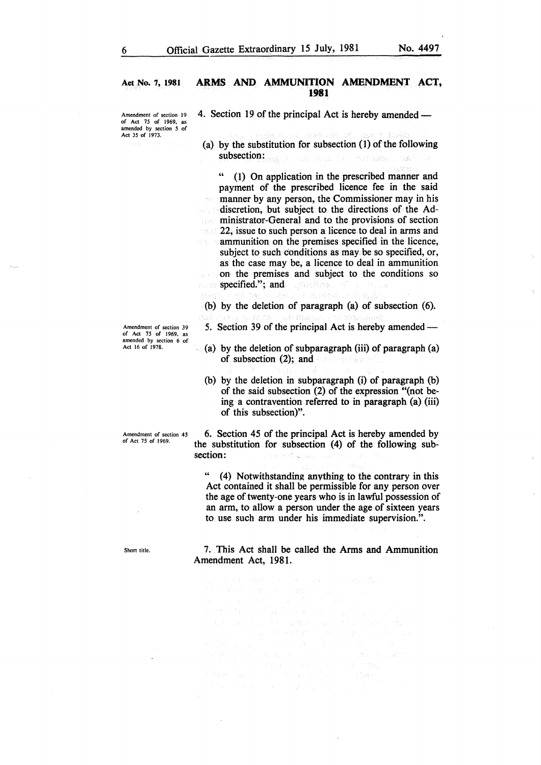## Act No. 7, 1981 ARMS AND AMMUNITION AMENDMENT ACT, 1981

amended by section *5* of Act 35 of 1973.

Amendment of section 19 4. Section 19 of the principal Act is hereby amended  $-$ 

(a) by the substitution for subsection (1) of the following subsection: Wave and State Constitution of the State Constitution of the State Constitution of the State Constitution of the State Constitution of the State Constitution of the State Constitution of the State Constitution

(1) On application in the prescribed manner and payment of the prescribed licence fee in the said manner by any person, the Commissioner may in his discretion, but subject to the directions of the Administrator-General and to the provisions of section 22, issue to such person a licence to deal in arms and **ammunition on the premises specified in the licence,** subject to such conditions as may be so specified, or, as the case may be, a licence to deal in ammunition on the premises and subject to the conditions so specified."; and **specified.**"; and

Para externa (b) by the deletion of paragraph (a) of subsection (6).

- 5. Section 39 of the principal Act is hereby amended-
- $(a)$  by the deletion of subparagraph (iii) of paragraph (a) of subsection  $(2)$ ; and  $\sim$   $\sim$   $\sim$ 
	- (b) by the deletion in subparagraph (i) of paragraph (b) of the said subsection (2) of the expression "(not being a contravention referred to in paragraph (a) (iii) of this subsection)".

6. Section 45 of the principal Act is hereby amended by the substitution for subsection (4) of the following subsection: a da sekaran

(4) Notwithstanding anything to the contrary in this Act contained it shall be permissible for any person over the age of twenty-one years who is in lawful possession of an arm, to allow a person under the age of sixteen years to use such arm under his immediate supervision.".

7. This Act shall be called the Arms and Ammunition Amendment Act, 1981.

nga ng Palipin in (1993)<br>Se og <mark>a</mark> af en santo  $\sim 30\%$ 

Amendment of section 39 of Act 75 of 1969. as amended by section 6 of Act 16 of 1978.

Amendment of section 45 of Act 75 of 1969.

Short title.